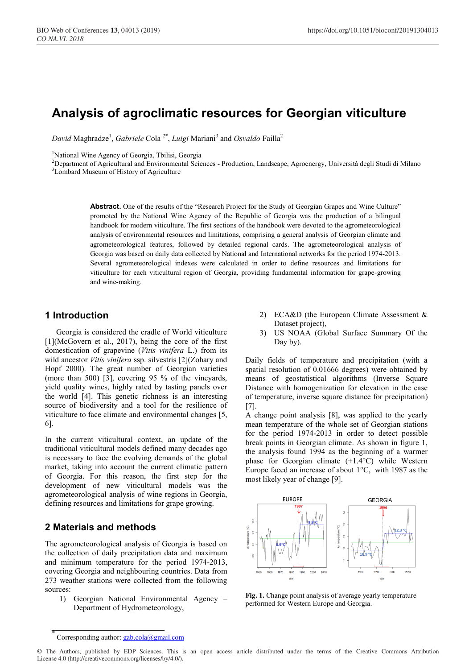# **Analysis of agroclimatic resources for Georgian viticulture**

 $David$  Maghradze<sup>1</sup>, *Gabriele* Cola<sup>2\*</sup>, *Luigi* Mariani<sup>3</sup> and *Osvaldo* Failla<sup>2</sup>

<sup>1</sup>National Wine Agency of Georgia, Tbilisi, Georgia

<sup>2</sup>Department of Agricultural and Environmental Sciences - Production, Landscape, Agroenergy, Università degli Studi di Milano <sup>3</sup>Lombard Museum of History of Agricultura <sup>3</sup>Lombard Museum of History of Agriculture

> **Abstract.** One of the results of the "Research Project for the Study of Georgian Grapes and Wine Culture" promoted by the National Wine Agency of the Republic of Georgia was the production of a bilingual handbook for modern viticulture. The first sections of the handbook were devoted to the agrometeorological analysis of environmental resources and limitations, comprising a general analysis of Georgian climate and agrometeorological features, followed by detailed regional cards. The agrometeorological analysis of Georgia was based on daily data collected by National and International networks for the period 1974-2013. Several agrometeorological indexes were calculated in order to define resources and limitations for viticulture for each viticultural region of Georgia, providing fundamental information for grape-growing and wine-making.

#### **1 Introduction**

Georgia is considered the cradle of World viticulture [1](McGovern et al., 2017), being the core of the first domestication of grapevine (*Vitis vinifera* L.) from its wild ancestor *Vitis vinifera* ssp. silvestris [2](Zohary and Hopf 2000). The great number of Georgian varieties (more than 500) [3], covering 95 % of the vineyards, yield quality wines, highly rated by tasting panels over the world [4]. This genetic richness is an interesting source of biodiversity and a tool for the resilience of viticulture to face climate and environmental changes [5, 6].

In the current viticultural context, an update of the traditional viticultural models defined many decades ago is necessary to face the evolving demands of the global market, taking into account the current climatic pattern of Georgia. For this reason, the first step for the development of new viticultural models was the agrometeorological analysis of wine regions in Georgia, defining resources and limitations for grape growing.

# **2 Materials and methods**

The agrometeorological analysis of Georgia is based on the collection of daily precipitation data and maximum and minimum temperature for the period 1974-2013, covering Georgia and neighbouring countries. Data from 273 weather stations were collected from the following sources:

1) Georgian National Environmental Agency – Department of Hydrometeorology,

- 2) ECA&D (the European Climate Assessment & Dataset project),
- 3) US NOAA (Global Surface Summary Of the Day by).

Daily fields of temperature and precipitation (with a spatial resolution of 0.01666 degrees) were obtained by means of geostatistical algorithms (Inverse Square Distance with homogenization for elevation in the case of temperature, inverse square distance for precipitation) [7].

A change point analysis [8], was applied to the yearly mean temperature of the whole set of Georgian stations for the period 1974-2013 in order to detect possible break points in Georgian climate. As shown in figure 1, the analysis found 1994 as the beginning of a warmer phase for Georgian climate (+1.4°C) while Western Europe faced an increase of about 1°C, with 1987 as the most likely year of change [9].



**Fig. 1.** Change point analysis of average yearly temperature performed for Western Europe and Georgia.

Corresponding author: gab.cola@gmail.com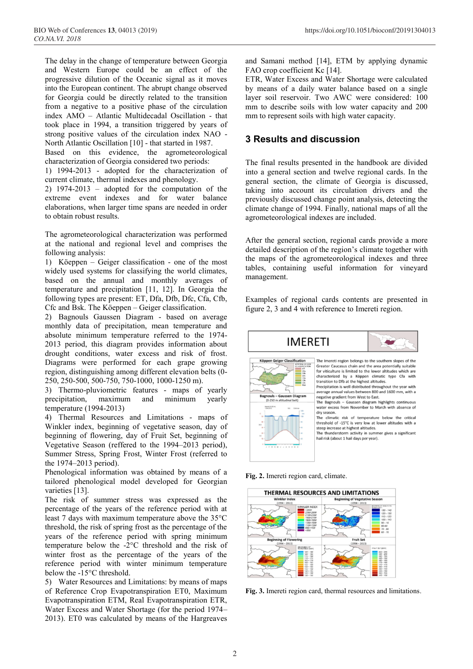The delay in the change of temperature between Georgia and Western Europe could be an effect of the progressive dilution of the Oceanic signal as it moves into the European continent. The abrupt change observed for Georgia could be directly related to the transition from a negative to a positive phase of the circulation index AMO – Atlantic Multidecadal Oscillation - that took place in 1994, a transition triggered by years of strong positive values of the circulation index NAO - North Atlantic Oscillation [10] - that started in 1987.

Based on this evidence, the agrometeorological characterization of Georgia considered two periods:

1) 1994-2013 - adopted for the characterization of current climate, thermal indexes and phenology.

2) 1974-2013 – adopted for the computation of the extreme event indexes and for water balance elaborations, when larger time spans are needed in order to obtain robust results.

The agrometeorological characterization was performed at the national and regional level and comprises the following analysis:

1) Köeppen – Geiger classification - one of the most widely used systems for classifying the world climates, based on the annual and monthly averages of temperature and precipitation [11, 12]. In Georgia the following types are present: ET, Dfa, Dfb, Dfc, Cfa, Cfb, Cfc and Bsk. The Köeppen – Geiger classification.

2) Bagnouls Gaussen Diagram - based on average monthly data of precipitation, mean temperature and absolute minimum temperature referred to the 1974- 2013 period, this diagram provides information about drought conditions, water excess and risk of frost. Diagrams were performed for each grape growing region, distinguishing among different elevation belts (0- 250, 250-500, 500-750, 750-1000, 1000-1250 m).

3) Thermo-pluviometric features - maps of yearly precipitation, maximum and minimum yearly temperature (1994-2013)

4) Thermal Resources and Limitations - maps of Winkler index, beginning of vegetative season, day of beginning of flowering, day of Fruit Set, beginning of Vegetative Season (reffered to the 1994–2013 period), Summer Stress, Spring Frost, Winter Frost (referred to the 1974–2013 period).

Phenological information was obtained by means of a tailored phenological model developed for Georgian varieties [13].

The risk of summer stress was expressed as the percentage of the years of the reference period with at least 7 days with maximum temperature above the 35°C threshold, the risk of spring frost as the percentage of the years of the reference period with spring minimum temperature below the -2°C threshold and the risk of winter frost as the percentage of the years of the reference period with winter minimum temperature below the -15°C threshold.

5) Water Resources and Limitations: by means of maps of Reference Crop Evapotranspiration ET0, Maximum Evapotranspiration ETM, Real Evapotranspiration ETR, Water Excess and Water Shortage (for the period 1974– 2013). ET0 was calculated by means of the Hargreaves

and Samani method [14], ETM by applying dynamic FAO crop coefficient Kc [14].

ETR, Water Excess and Water Shortage were calculated by means of a daily water balance based on a single layer soil reservoir. Two AWC were considered: 100 mm to describe soils with low water capacity and 200 mm to represent soils with high water capacity.

## **3 Results and discussion**

The final results presented in the handbook are divided into a general section and twelve regional cards. In the general section, the climate of Georgia is discussed, taking into account its circulation drivers and the previously discussed change point analysis, detecting the climate change of 1994. Finally, national maps of all the agrometeorological indexes are included.

After the general section, regional cards provide a more detailed description of the region's climate together with the maps of the agrometeorological indexes and three tables, containing useful information for vineyard management.

Examples of regional cards contents are presented in figure 2, 3 and 4 with reference to Imereti region.



**Fig. 2.** Imereti region card, climate.



**Fig. 3.** Imereti region card, thermal resources and limitations.